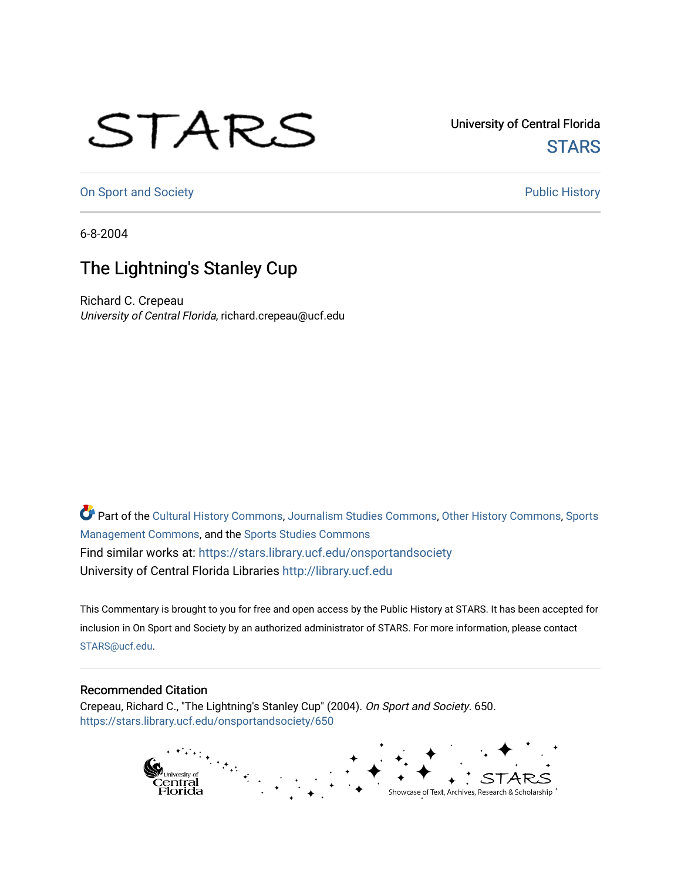## STARS

University of Central Florida **STARS** 

[On Sport and Society](https://stars.library.ucf.edu/onsportandsociety) **Public History** Public History

6-8-2004

## The Lightning's Stanley Cup

Richard C. Crepeau University of Central Florida, richard.crepeau@ucf.edu

Part of the [Cultural History Commons](http://network.bepress.com/hgg/discipline/496?utm_source=stars.library.ucf.edu%2Fonsportandsociety%2F650&utm_medium=PDF&utm_campaign=PDFCoverPages), [Journalism Studies Commons,](http://network.bepress.com/hgg/discipline/333?utm_source=stars.library.ucf.edu%2Fonsportandsociety%2F650&utm_medium=PDF&utm_campaign=PDFCoverPages) [Other History Commons,](http://network.bepress.com/hgg/discipline/508?utm_source=stars.library.ucf.edu%2Fonsportandsociety%2F650&utm_medium=PDF&utm_campaign=PDFCoverPages) [Sports](http://network.bepress.com/hgg/discipline/1193?utm_source=stars.library.ucf.edu%2Fonsportandsociety%2F650&utm_medium=PDF&utm_campaign=PDFCoverPages) [Management Commons](http://network.bepress.com/hgg/discipline/1193?utm_source=stars.library.ucf.edu%2Fonsportandsociety%2F650&utm_medium=PDF&utm_campaign=PDFCoverPages), and the [Sports Studies Commons](http://network.bepress.com/hgg/discipline/1198?utm_source=stars.library.ucf.edu%2Fonsportandsociety%2F650&utm_medium=PDF&utm_campaign=PDFCoverPages) Find similar works at: <https://stars.library.ucf.edu/onsportandsociety> University of Central Florida Libraries [http://library.ucf.edu](http://library.ucf.edu/) 

This Commentary is brought to you for free and open access by the Public History at STARS. It has been accepted for inclusion in On Sport and Society by an authorized administrator of STARS. For more information, please contact [STARS@ucf.edu](mailto:STARS@ucf.edu).

## Recommended Citation

Crepeau, Richard C., "The Lightning's Stanley Cup" (2004). On Sport and Society. 650. [https://stars.library.ucf.edu/onsportandsociety/650](https://stars.library.ucf.edu/onsportandsociety/650?utm_source=stars.library.ucf.edu%2Fonsportandsociety%2F650&utm_medium=PDF&utm_campaign=PDFCoverPages)

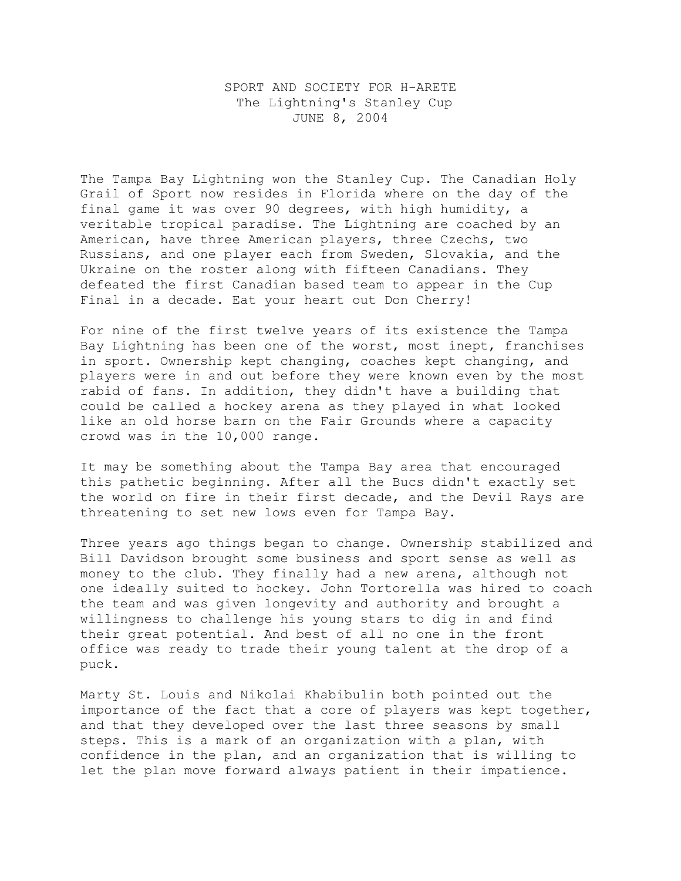SPORT AND SOCIETY FOR H-ARETE The Lightning's Stanley Cup JUNE 8, 2004

The Tampa Bay Lightning won the Stanley Cup. The Canadian Holy Grail of Sport now resides in Florida where on the day of the final game it was over 90 degrees, with high humidity, a veritable tropical paradise. The Lightning are coached by an American, have three American players, three Czechs, two Russians, and one player each from Sweden, Slovakia, and the Ukraine on the roster along with fifteen Canadians. They defeated the first Canadian based team to appear in the Cup Final in a decade. Eat your heart out Don Cherry!

For nine of the first twelve years of its existence the Tampa Bay Lightning has been one of the worst, most inept, franchises in sport. Ownership kept changing, coaches kept changing, and players were in and out before they were known even by the most rabid of fans. In addition, they didn't have a building that could be called a hockey arena as they played in what looked like an old horse barn on the Fair Grounds where a capacity crowd was in the 10,000 range.

It may be something about the Tampa Bay area that encouraged this pathetic beginning. After all the Bucs didn't exactly set the world on fire in their first decade, and the Devil Rays are threatening to set new lows even for Tampa Bay.

Three years ago things began to change. Ownership stabilized and Bill Davidson brought some business and sport sense as well as money to the club. They finally had a new arena, although not one ideally suited to hockey. John Tortorella was hired to coach the team and was given longevity and authority and brought a willingness to challenge his young stars to dig in and find their great potential. And best of all no one in the front office was ready to trade their young talent at the drop of a puck.

Marty St. Louis and Nikolai Khabibulin both pointed out the importance of the fact that a core of players was kept together, and that they developed over the last three seasons by small steps. This is a mark of an organization with a plan, with confidence in the plan, and an organization that is willing to let the plan move forward always patient in their impatience.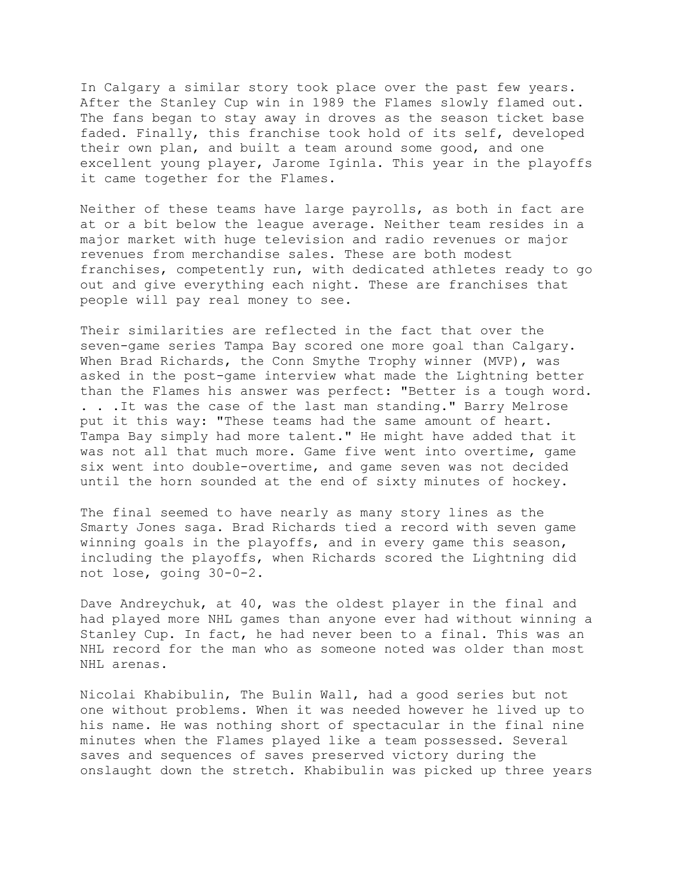In Calgary a similar story took place over the past few years. After the Stanley Cup win in 1989 the Flames slowly flamed out. The fans began to stay away in droves as the season ticket base faded. Finally, this franchise took hold of its self, developed their own plan, and built a team around some good, and one excellent young player, Jarome Iginla. This year in the playoffs it came together for the Flames.

Neither of these teams have large payrolls, as both in fact are at or a bit below the league average. Neither team resides in a major market with huge television and radio revenues or major revenues from merchandise sales. These are both modest franchises, competently run, with dedicated athletes ready to go out and give everything each night. These are franchises that people will pay real money to see.

Their similarities are reflected in the fact that over the seven-game series Tampa Bay scored one more goal than Calgary. When Brad Richards, the Conn Smythe Trophy winner (MVP), was asked in the post-game interview what made the Lightning better than the Flames his answer was perfect: "Better is a tough word. . . .It was the case of the last man standing." Barry Melrose put it this way: "These teams had the same amount of heart. Tampa Bay simply had more talent." He might have added that it was not all that much more. Game five went into overtime, game six went into double-overtime, and game seven was not decided until the horn sounded at the end of sixty minutes of hockey.

The final seemed to have nearly as many story lines as the Smarty Jones saga. Brad Richards tied a record with seven game winning goals in the playoffs, and in every game this season, including the playoffs, when Richards scored the Lightning did not lose, going 30-0-2.

Dave Andreychuk, at 40, was the oldest player in the final and had played more NHL games than anyone ever had without winning a Stanley Cup. In fact, he had never been to a final. This was an NHL record for the man who as someone noted was older than most NHL arenas.

Nicolai Khabibulin, The Bulin Wall, had a good series but not one without problems. When it was needed however he lived up to his name. He was nothing short of spectacular in the final nine minutes when the Flames played like a team possessed. Several saves and sequences of saves preserved victory during the onslaught down the stretch. Khabibulin was picked up three years